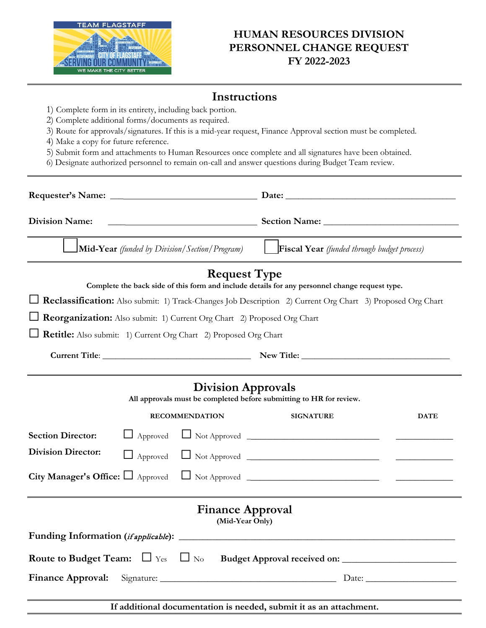

## **HUMAN RESOURCES DIVISION PERSONNEL CHANGE REQUEST FY 2022-2023**

## **Instructions**

- 1) Complete form in its entirety, including back portion.
- 2) Complete additional forms/documents as required.
- 3) Route for approvals/signatures. If this is a mid-year request, Finance Approval section must be completed.
- 4) Make a copy for future reference.
- 5) Submit form and attachments to Human Resources once complete and all signatures have been obtained.
- 6) Designate authorized personnel to remain on-call and answer questions during Budget Team review.

|                                                                                                                       | Date: $\qquad \qquad$                              |
|-----------------------------------------------------------------------------------------------------------------------|----------------------------------------------------|
| <b>Division Name:</b>                                                                                                 |                                                    |
| <b>Mid-Year</b> (funded by Division/Section/Program)                                                                  | <b>Fiscal Year</b> (funded through budget process) |
| <b>Request Type</b><br>Complete the back side of this form and include details for any personnel change request type. |                                                    |
| Reclassification: Also submit: 1) Track-Changes Job Description 2) Current Org Chart 3) Proposed Org Chart            |                                                    |
| <b>Reorganization:</b> Also submit: 1) Current Org Chart 2) Proposed Org Chart                                        |                                                    |
| Retitle: Also submit: 1) Current Org Chart 2) Proposed Org Chart                                                      |                                                    |
|                                                                                                                       |                                                    |
| <b>Division Approvals</b><br>All approvals must be completed before submitting to HR for review.                      |                                                    |
| <b>RECOMMENDATION</b>                                                                                                 | <b>SIGNATURE</b><br><b>DATE</b>                    |
| <b>Section Director:</b><br>$\Box$ Approved                                                                           |                                                    |
| <b>Division Director:</b>                                                                                             | $\Box$ Approved $\Box$ Not Approved $\Box$         |
| City Manager's Office: $\Box$ Approved                                                                                |                                                    |
| <b>Finance Approval</b><br>(Mid-Year Only)                                                                            |                                                    |
|                                                                                                                       |                                                    |
|                                                                                                                       |                                                    |
| <b>Finance Approval:</b>                                                                                              |                                                    |
| If additional documentation is needed, submit it as an attachment.                                                    |                                                    |